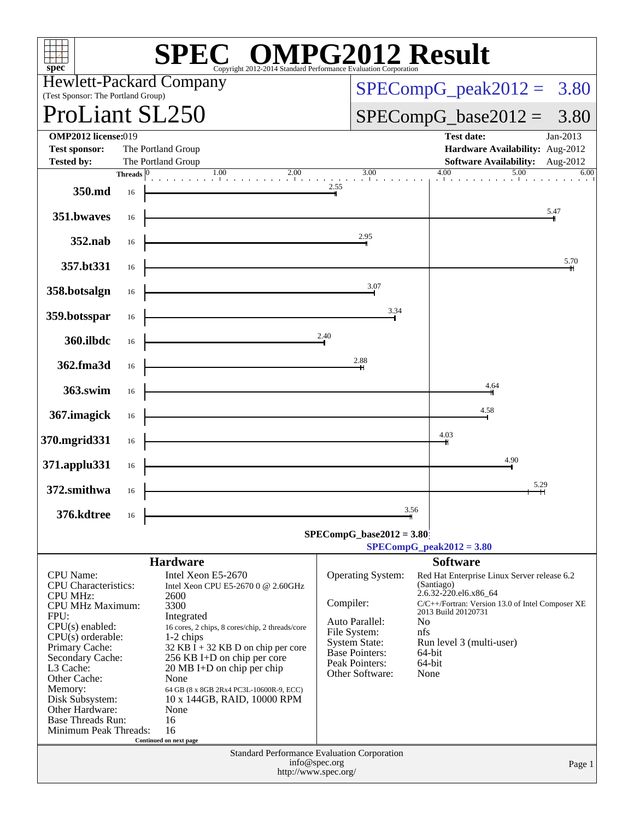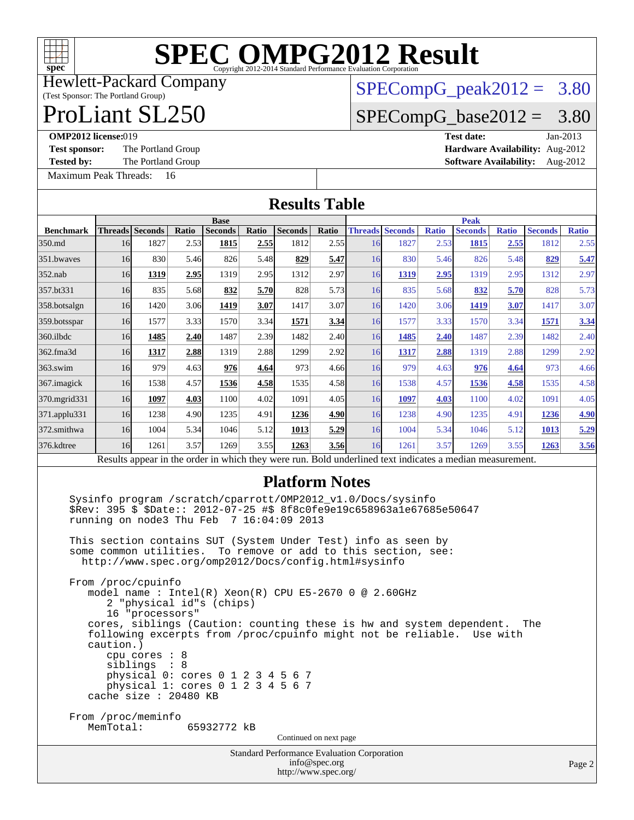

Hewlett-Packard Company

#### (Test Sponsor: The Portland Group) ProLiant SL250

# $SPECompG_peak2012 = 3.80$  $SPECompG_peak2012 = 3.80$

## $SPECompG_base2012 = 3.80$  $SPECompG_base2012 = 3.80$

[Maximum Peak Threads:](http://www.spec.org/auto/omp2012/Docs/result-fields.html#MaximumPeakThreads) 16

**[OMP2012 license:](http://www.spec.org/auto/omp2012/Docs/result-fields.html#OMP2012license)**019 **[Test date:](http://www.spec.org/auto/omp2012/Docs/result-fields.html#Testdate)** Jan-2013 [Test sponsor:](http://www.spec.org/auto/omp2012/Docs/result-fields.html#Testsponsor) The Portland Group **[Hardware Availability:](http://www.spec.org/auto/omp2012/Docs/result-fields.html#HardwareAvailability)** Aug-2012 **[Tested by:](http://www.spec.org/auto/omp2012/Docs/result-fields.html#Testedby)** The Portland Group **[Software Availability:](http://www.spec.org/auto/omp2012/Docs/result-fields.html#SoftwareAvailability)** Aug-2012

| <b>Results Table</b>                                                                                                                                                                                                                                                                                                                                                                                                                    |             |                    |       |                |       |                        |       |             |                                                                                                          |              |                |              |                |              |
|-----------------------------------------------------------------------------------------------------------------------------------------------------------------------------------------------------------------------------------------------------------------------------------------------------------------------------------------------------------------------------------------------------------------------------------------|-------------|--------------------|-------|----------------|-------|------------------------|-------|-------------|----------------------------------------------------------------------------------------------------------|--------------|----------------|--------------|----------------|--------------|
|                                                                                                                                                                                                                                                                                                                                                                                                                                         | <b>Base</b> |                    |       |                |       |                        |       | <b>Peak</b> |                                                                                                          |              |                |              |                |              |
| <b>Benchmark</b>                                                                                                                                                                                                                                                                                                                                                                                                                        |             | Threads Seconds    | Ratio | <b>Seconds</b> | Ratio | <b>Seconds</b>         | Ratio |             | <b>Threads Seconds</b>                                                                                   | <b>Ratio</b> | <b>Seconds</b> | <b>Ratio</b> | <b>Seconds</b> | <b>Ratio</b> |
| 350.md                                                                                                                                                                                                                                                                                                                                                                                                                                  | 16          | 1827               | 2.53  | 1815           | 2.55  | 1812                   | 2.55  | 16          | 1827                                                                                                     | 2.53         | <b>1815</b>    | 2.55         | 1812           | 2.55         |
| 351.bwaves                                                                                                                                                                                                                                                                                                                                                                                                                              | 16          | 830                | 5.46  | 826            | 5.48  | 829                    | 5.47  | 16          | 830                                                                                                      | 5.46         | 826            | 5.48         | 829            | 5.47         |
| $352$ .nab                                                                                                                                                                                                                                                                                                                                                                                                                              | 16          | 1319               | 2.95  | 1319           | 2.95  | 1312                   | 2.97  | 16          | <b>1319</b>                                                                                              | 2.95         | 1319           | 2.95         | 1312           | 2.97         |
| 357.bt331                                                                                                                                                                                                                                                                                                                                                                                                                               | 16          | 835                | 5.68  | 832            | 5.70  | 828                    | 5.73  | 16          | 835                                                                                                      | 5.68         | 832            | 5.70         | 828            | 5.73         |
| 358.botsalgn                                                                                                                                                                                                                                                                                                                                                                                                                            | 16          | 1420               | 3.06  | 1419           | 3.07  | 1417                   | 3.07  | 16          | 1420                                                                                                     | 3.06         | 1419           | 3.07         | 1417           | 3.07         |
| 359.botsspar                                                                                                                                                                                                                                                                                                                                                                                                                            | 16          | 1577               | 3.33  | 1570           | 3.34  | 1571                   | 3.34  | 16          | 1577                                                                                                     | 3.33         | 1570           | 3.34         | <b>1571</b>    | 3.34         |
| $360$ .ilbdc                                                                                                                                                                                                                                                                                                                                                                                                                            | 16          | 1485               | 2.40  | 1487           | 2.39  | 1482                   | 2.40  | 16          | 1485                                                                                                     | 2.40         | 1487           | 2.39         | 1482           | 2.40         |
| 362.fma3d                                                                                                                                                                                                                                                                                                                                                                                                                               | 16          | 1317               | 2.88  | 1319           | 2.88  | 1299                   | 2.92  | 16          | 1317                                                                                                     | 2.88         | 1319           | 2.88         | 1299           | 2.92         |
| $363$ .swim                                                                                                                                                                                                                                                                                                                                                                                                                             | 16          | 979                | 4.63  | 976            | 4.64  | 973                    | 4.66  | 16          | 979                                                                                                      | 4.63         | 976            | 4.64         | 973            | 4.66         |
| 367. imagick                                                                                                                                                                                                                                                                                                                                                                                                                            | 16          | 1538               | 4.57  | 1536           | 4.58  | 1535                   | 4.58  | 16          | 1538                                                                                                     | 4.57         | 1536           | 4.58         | 1535           | 4.58         |
| 370.mgrid331                                                                                                                                                                                                                                                                                                                                                                                                                            | 16          | 1097               | 4.03  | 1100           | 4.02  | 1091                   | 4.05  | 16          | <b>1097</b>                                                                                              | 4.03         | 1100           | 4.02         | 1091           | 4.05         |
| 371.applu331                                                                                                                                                                                                                                                                                                                                                                                                                            | 16          | 1238               | 4.90  | 1235           | 4.91  | 1236                   | 4.90  | 16          | 1238                                                                                                     | 4.90         | 1235           | 4.91         | 1236           | 4.90         |
| 372.smithwa                                                                                                                                                                                                                                                                                                                                                                                                                             | 16          | 1004               | 5.34  | 1046           | 5.12  | 1013                   | 5.29  | 16          | 1004                                                                                                     | 5.34         | 1046           | 5.12         | 1013           | 5.29         |
| 376.kdtree                                                                                                                                                                                                                                                                                                                                                                                                                              | 16          | 1261               | 3.57  | 1269           | 3.55  | 1263                   | 3.56  | 16          | 1261                                                                                                     | 3.57         | 1269           | 3.55         | 1263           | 3.56         |
|                                                                                                                                                                                                                                                                                                                                                                                                                                         |             |                    |       |                |       |                        |       |             | Results appear in the order in which they were run. Bold underlined text indicates a median measurement. |              |                |              |                |              |
| <b>Platform Notes</b><br>Sysinfo program /scratch/cparrott/OMP2012_v1.0/Docs/sysinfo<br>\$Rev: 395 \$ \$Date:: 2012-07-25 #\$ 8f8c0fe9e19c658963a1e67685e50647<br>running on node3 Thu Feb $7 16:04:09 2013$<br>This section contains SUT (System Under Test) info as seen by<br>some common utilities.<br>To remove or add to this section, see:<br>http://www.spec.org/omp2012/Docs/config.html#sysinfo                               |             |                    |       |                |       |                        |       |             |                                                                                                          |              |                |              |                |              |
| From /proc/cpuinfo<br>model name : Intel(R) Xeon(R) CPU E5-2670 0 @ 2.60GHz<br>2 "physical id"s (chips)<br>16 "processors"<br>cores, siblings (Caution: counting these is hw and system dependent.<br>The<br>following excerpts from /proc/cpuinfo might not be reliable. Use with<br>caution.)<br>$cpu$ cores : $8$<br>siblings : 8<br>physical 0: cores 0 1 2 3 4 5 6 7<br>physical 1: cores 0 1 2 3 4 5 6 7<br>cache size : 20480 KB |             |                    |       |                |       |                        |       |             |                                                                                                          |              |                |              |                |              |
|                                                                                                                                                                                                                                                                                                                                                                                                                                         | MemTotal:   | From /proc/meminfo |       | 65932772 KB    |       | Continued on next page |       |             |                                                                                                          |              |                |              |                |              |
|                                                                                                                                                                                                                                                                                                                                                                                                                                         |             |                    |       |                |       |                        |       |             |                                                                                                          |              |                |              |                |              |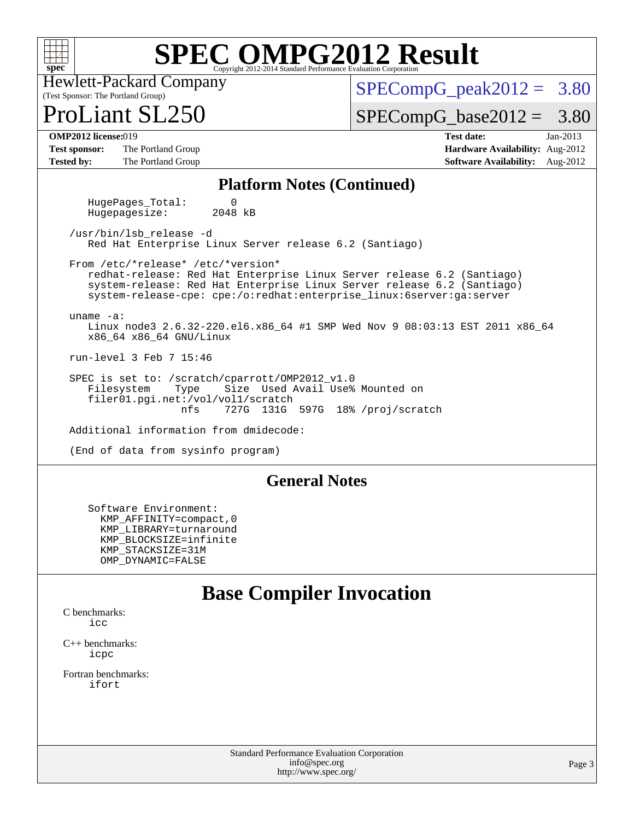

(Test Sponsor: The Portland Group) Hewlett-Packard Company

 $SPECompG<sub>peak2012</sub> = 3.80$ 

 $Liant$  SL250

 $SPECompG_base2012 = 3.80$  $SPECompG_base2012 = 3.80$ 

**[Test sponsor:](http://www.spec.org/auto/omp2012/Docs/result-fields.html#Testsponsor)** The Portland Group **[Hardware Availability:](http://www.spec.org/auto/omp2012/Docs/result-fields.html#HardwareAvailability)** Aug-2012 **[Tested by:](http://www.spec.org/auto/omp2012/Docs/result-fields.html#Testedby)** The Portland Group **[Software Availability:](http://www.spec.org/auto/omp2012/Docs/result-fields.html#SoftwareAvailability)** Aug-2012

**[OMP2012 license:](http://www.spec.org/auto/omp2012/Docs/result-fields.html#OMP2012license)**019 **[Test date:](http://www.spec.org/auto/omp2012/Docs/result-fields.html#Testdate)** Jan-2013

### **[Platform Notes \(Continued\)](http://www.spec.org/auto/omp2012/Docs/result-fields.html#PlatformNotes)**

HugePages\_Total: 0<br>Hugepagesize: 2048 kB Hugepagesize:

 /usr/bin/lsb\_release -d Red Hat Enterprise Linux Server release 6.2 (Santiago)

 From /etc/\*release\* /etc/\*version\* redhat-release: Red Hat Enterprise Linux Server release 6.2 (Santiago) system-release: Red Hat Enterprise Linux Server release 6.2 (Santiago) system-release-cpe: cpe:/o:redhat:enterprise\_linux:6server:ga:server

 uname -a: Linux node3 2.6.32-220.el6.x86\_64 #1 SMP Wed Nov 9 08:03:13 EST 2011 x86\_64 x86\_64 x86\_64 GNU/Linux

run-level 3 Feb 7 15:46

SPEC is set to: /scratch/cparrott/OMP2012\_v1.0<br>Filesystem Type Size Used Avail Use% Filesystem Type Size Used Avail Use% Mounted on filer01.pgi.net:/vol/vol1/scratch<br>nfs 727G 131G 727G 131G 597G 18% /proj/scratch

Additional information from dmidecode:

(End of data from sysinfo program)

### **[General Notes](http://www.spec.org/auto/omp2012/Docs/result-fields.html#GeneralNotes)**

 Software Environment: KMP\_AFFINITY=compact,0 KMP\_LIBRARY=turnaround KMP\_BLOCKSIZE=infinite KMP\_STACKSIZE=31M OMP\_DYNAMIC=FALSE

### **[Base Compiler Invocation](http://www.spec.org/auto/omp2012/Docs/result-fields.html#BaseCompilerInvocation)**

[C benchmarks](http://www.spec.org/auto/omp2012/Docs/result-fields.html#Cbenchmarks): [icc](http://www.spec.org/omp2012/results/res2013q1/omp2012-20130211-00021.flags.html#user_CCbase_intel_icc_a87c68a857bc5ec5362391a49d3a37a6)

[C++ benchmarks:](http://www.spec.org/auto/omp2012/Docs/result-fields.html#CXXbenchmarks) [icpc](http://www.spec.org/omp2012/results/res2013q1/omp2012-20130211-00021.flags.html#user_CXXbase_intel_icpc_2d899f8d163502b12eb4a60069f80c1c)

[Fortran benchmarks](http://www.spec.org/auto/omp2012/Docs/result-fields.html#Fortranbenchmarks): [ifort](http://www.spec.org/omp2012/results/res2013q1/omp2012-20130211-00021.flags.html#user_FCbase_intel_ifort_8a5e5e06b19a251bdeaf8fdab5d62f20)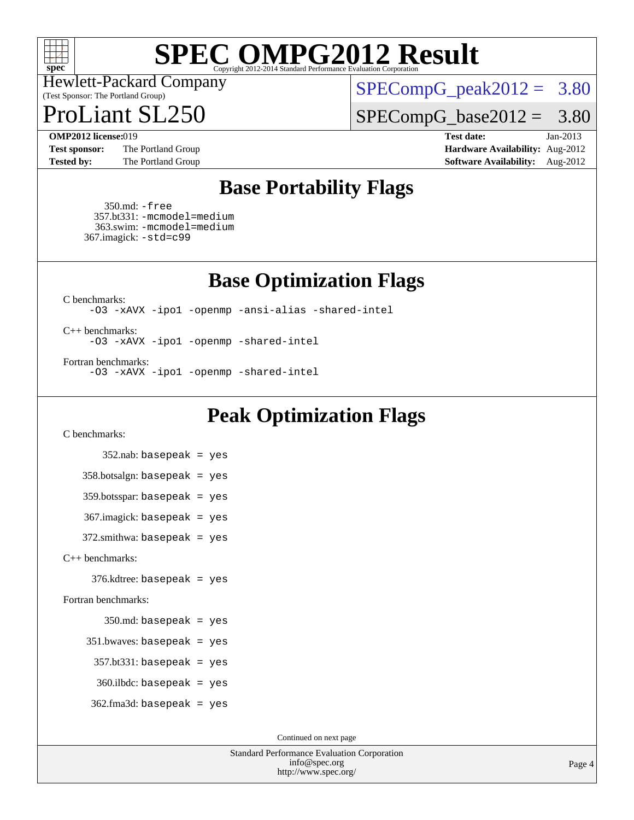

(Test Sponsor: The Portland Group) Hewlett-Packard Company

 $SPECompG_peak2012 = 3.80$  $SPECompG_peak2012 = 3.80$ 

Liant  $SL250$ 

 $SPECompG_base2012 = 3.80$  $SPECompG_base2012 = 3.80$ 

**[Test sponsor:](http://www.spec.org/auto/omp2012/Docs/result-fields.html#Testsponsor)** The Portland Group **[Hardware Availability:](http://www.spec.org/auto/omp2012/Docs/result-fields.html#HardwareAvailability)** Aug-2012 **[Tested by:](http://www.spec.org/auto/omp2012/Docs/result-fields.html#Testedby)** The Portland Group **[Software Availability:](http://www.spec.org/auto/omp2012/Docs/result-fields.html#SoftwareAvailability)** Aug-2012

**[OMP2012 license:](http://www.spec.org/auto/omp2012/Docs/result-fields.html#OMP2012license)**019 **[Test date:](http://www.spec.org/auto/omp2012/Docs/result-fields.html#Testdate)** Jan-2013

## **[Base Portability Flags](http://www.spec.org/auto/omp2012/Docs/result-fields.html#BasePortabilityFlags)**

 350.md: [-free](http://www.spec.org/omp2012/results/res2013q1/omp2012-20130211-00021.flags.html#user_baseFPORTABILITY350_md_free) 357.bt331: [-mcmodel=medium](http://www.spec.org/omp2012/results/res2013q1/omp2012-20130211-00021.flags.html#user_baseFPORTABILITY357_bt331_f-mcmodel_3a41622424bdd074c4f0f2d2f224c7e5) 363.swim: [-mcmodel=medium](http://www.spec.org/omp2012/results/res2013q1/omp2012-20130211-00021.flags.html#user_baseFPORTABILITY363_swim_f-mcmodel_3a41622424bdd074c4f0f2d2f224c7e5) 367.imagick: [-std=c99](http://www.spec.org/omp2012/results/res2013q1/omp2012-20130211-00021.flags.html#user_baseCPORTABILITY367_imagick_std_2ec6533b6e06f1c4a6c9b78d9e9cde24)

**[Base Optimization Flags](http://www.spec.org/auto/omp2012/Docs/result-fields.html#BaseOptimizationFlags)**

[C benchmarks](http://www.spec.org/auto/omp2012/Docs/result-fields.html#Cbenchmarks):

[-O3](http://www.spec.org/omp2012/results/res2013q1/omp2012-20130211-00021.flags.html#user_CCbase_f-O3) [-xAVX](http://www.spec.org/omp2012/results/res2013q1/omp2012-20130211-00021.flags.html#user_CCbase_f-xAVX) [-ipo1](http://www.spec.org/omp2012/results/res2013q1/omp2012-20130211-00021.flags.html#user_CCbase_f-ipo_116921c2575d566c213f1dd5e08493d2) [-openmp](http://www.spec.org/omp2012/results/res2013q1/omp2012-20130211-00021.flags.html#user_CCbase_f-openmp) [-ansi-alias](http://www.spec.org/omp2012/results/res2013q1/omp2012-20130211-00021.flags.html#user_CCbase_f-ansi-alias) [-shared-intel](http://www.spec.org/omp2012/results/res2013q1/omp2012-20130211-00021.flags.html#user_CCbase_f-shared-intel)

[C++ benchmarks:](http://www.spec.org/auto/omp2012/Docs/result-fields.html#CXXbenchmarks) [-O3](http://www.spec.org/omp2012/results/res2013q1/omp2012-20130211-00021.flags.html#user_CXXbase_f-O3) [-xAVX](http://www.spec.org/omp2012/results/res2013q1/omp2012-20130211-00021.flags.html#user_CXXbase_f-xAVX) [-ipo1](http://www.spec.org/omp2012/results/res2013q1/omp2012-20130211-00021.flags.html#user_CXXbase_f-ipo_116921c2575d566c213f1dd5e08493d2) [-openmp](http://www.spec.org/omp2012/results/res2013q1/omp2012-20130211-00021.flags.html#user_CXXbase_f-openmp) [-shared-intel](http://www.spec.org/omp2012/results/res2013q1/omp2012-20130211-00021.flags.html#user_CXXbase_f-shared-intel)

[Fortran benchmarks](http://www.spec.org/auto/omp2012/Docs/result-fields.html#Fortranbenchmarks): [-O3](http://www.spec.org/omp2012/results/res2013q1/omp2012-20130211-00021.flags.html#user_FCbase_f-O3) [-xAVX](http://www.spec.org/omp2012/results/res2013q1/omp2012-20130211-00021.flags.html#user_FCbase_f-xAVX) [-ipo1](http://www.spec.org/omp2012/results/res2013q1/omp2012-20130211-00021.flags.html#user_FCbase_f-ipo_116921c2575d566c213f1dd5e08493d2) [-openmp](http://www.spec.org/omp2012/results/res2013q1/omp2012-20130211-00021.flags.html#user_FCbase_f-openmp) [-shared-intel](http://www.spec.org/omp2012/results/res2013q1/omp2012-20130211-00021.flags.html#user_FCbase_f-shared-intel)

## **[Peak Optimization Flags](http://www.spec.org/auto/omp2012/Docs/result-fields.html#PeakOptimizationFlags)**

[C benchmarks](http://www.spec.org/auto/omp2012/Docs/result-fields.html#Cbenchmarks):

 352.nab: basepeak = yes 358.botsalgn: basepeak = yes 359.botsspar: basepeak = yes 367.imagick: basepeak = yes 372.smithwa: basepeak = yes [C++ benchmarks:](http://www.spec.org/auto/omp2012/Docs/result-fields.html#CXXbenchmarks) 376.kdtree: basepeak = yes [Fortran benchmarks](http://www.spec.org/auto/omp2012/Docs/result-fields.html#Fortranbenchmarks): 350.md: basepeak = yes 351.bwaves: basepeak = yes  $357.bt331:$  basepeak = yes 360.ilbdc: basepeak = yes  $362$ .fma $3d$ : basepeak = yes

Continued on next page